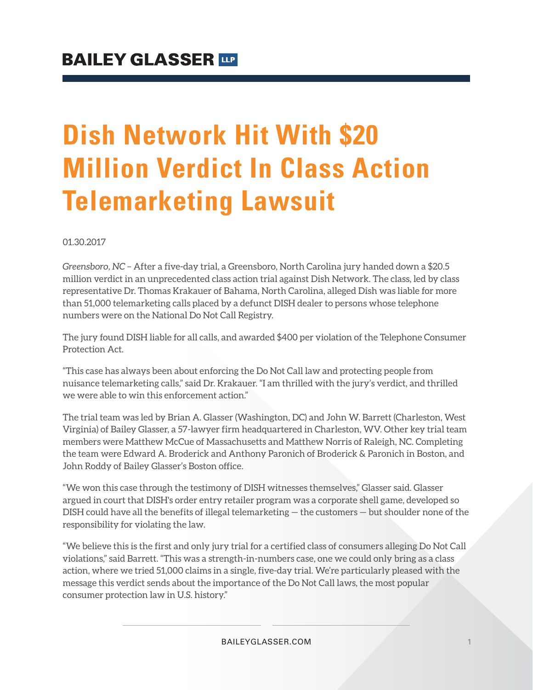# **Dish Network Hit With \$20 Million Verdict In Class Action Telemarketing Lawsuit**

01.30.2017

*Greensboro, NC* – After a five-day trial, a Greensboro, North Carolina jury handed down a \$20.5 million verdict in an unprecedented class action trial against Dish Network. The class, led by class representative Dr. Thomas Krakauer of Bahama, North Carolina, alleged Dish was liable for more than 51,000 telemarketing calls placed by a defunct DISH dealer to persons whose telephone numbers were on the National Do Not Call Registry.

The jury found DISH liable for all calls, and awarded \$400 per violation of the Telephone Consumer Protection Act.

"This case has always been about enforcing the Do Not Call law and protecting people from nuisance telemarketing calls," said Dr. Krakauer. "I am thrilled with the jury's verdict, and thrilled we were able to win this enforcement action."

The trial team was led by Brian A. Glasser (Washington, DC) and John W. Barrett (Charleston, West Virginia) of Bailey Glasser, a 57-lawyer firm headquartered in Charleston, WV. Other key trial team members were Matthew McCue of Massachusetts and Matthew Norris of Raleigh, NC. Completing the team were Edward A. Broderick and Anthony Paronich of Broderick & Paronich in Boston, and John Roddy of Bailey Glasser's Boston office.

"We won this case through the testimony of DISH witnesses themselves," Glasser said. Glasser argued in court that DISH's order entry retailer program was a corporate shell game, developed so DISH could have all the benefits of illegal telemarketing — the customers — but shoulder none of the responsibility for violating the law.

"We believe this is the first and only jury trial for a certified class of consumers alleging Do Not Call violations," said Barrett. "This was a strength-in-numbers case, one we could only bring as a class action, where we tried 51,000 claims in a single, five-day trial. We're particularly pleased with the message this verdict sends about the importance of the Do Not Call laws, the most popular consumer protection law in U.S. history."